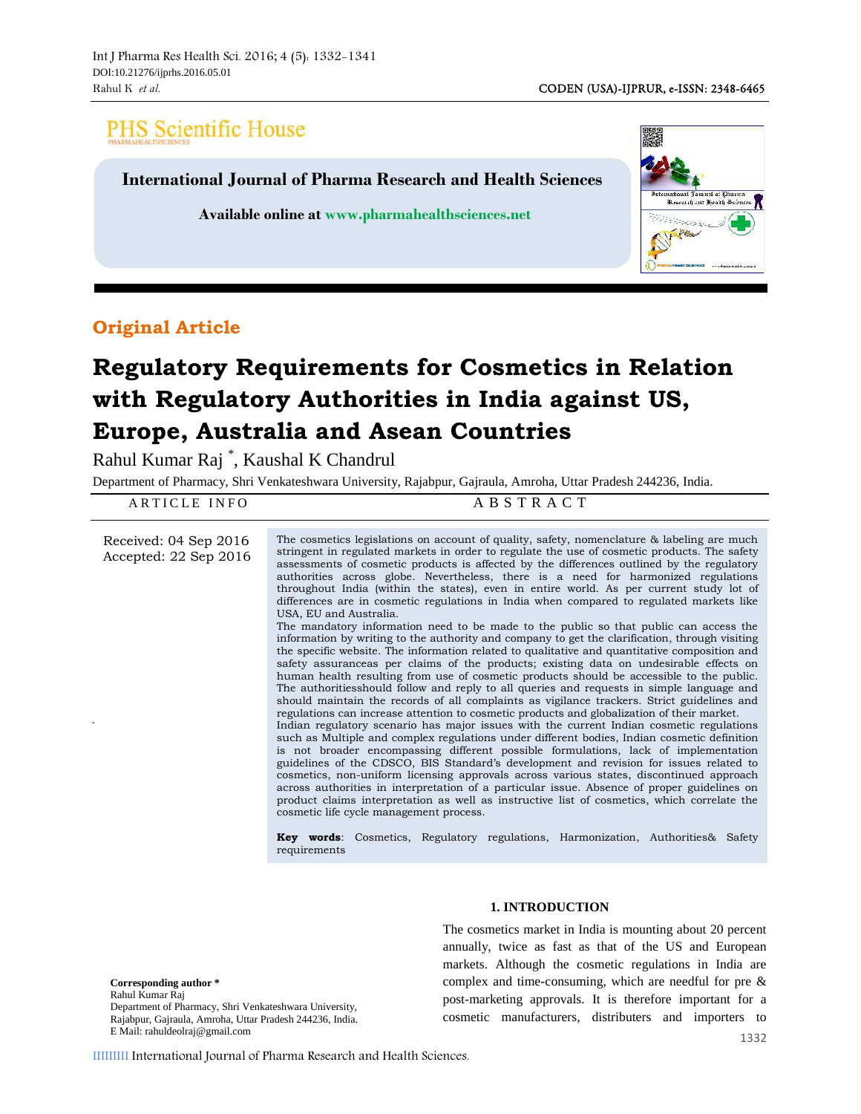# **PHS Scientific House**

**International Journal of Pharma Research and Health Sciences**

**Available online at www.pharmahealthsciences.net**



# **Original Article**

# **Regulatory Requirements for Cosmetics in Relation with Regulatory Authorities in India against US, Europe, Australia and Asean Countries**

| Department of Pharmacy, Shri Venkateshwara University, Rajabpur, Gajraula, Amroha, Uttar Pradesh 244236, India.<br>ABSTRACT<br>ARTICLE INFO |                                                                                                                                                                                                                                                                                                                                                                                                                                                                                                                                                                                                                                                                                                                                                                                                                                                                                                                                                                                                                                                                                                                                                                                                                                                                                                                                                                                                                                                                                                                                                                                                                                                                                                                                                                                                                                                                                                                                                                                                                                                                                              |  |  |  |  |
|---------------------------------------------------------------------------------------------------------------------------------------------|----------------------------------------------------------------------------------------------------------------------------------------------------------------------------------------------------------------------------------------------------------------------------------------------------------------------------------------------------------------------------------------------------------------------------------------------------------------------------------------------------------------------------------------------------------------------------------------------------------------------------------------------------------------------------------------------------------------------------------------------------------------------------------------------------------------------------------------------------------------------------------------------------------------------------------------------------------------------------------------------------------------------------------------------------------------------------------------------------------------------------------------------------------------------------------------------------------------------------------------------------------------------------------------------------------------------------------------------------------------------------------------------------------------------------------------------------------------------------------------------------------------------------------------------------------------------------------------------------------------------------------------------------------------------------------------------------------------------------------------------------------------------------------------------------------------------------------------------------------------------------------------------------------------------------------------------------------------------------------------------------------------------------------------------------------------------------------------------|--|--|--|--|
| Received: 04 Sep 2016<br>Accepted: 22 Sep 2016                                                                                              | The cosmetics legislations on account of quality, safety, nomenclature & labeling are much<br>stringent in regulated markets in order to regulate the use of cosmetic products. The safety<br>assessments of cosmetic products is affected by the differences outlined by the regulatory<br>authorities across globe. Nevertheless, there is a need for harmonized regulations<br>throughout India (within the states), even in entire world. As per current study lot of<br>differences are in cosmetic regulations in India when compared to regulated markets like<br>USA, EU and Australia.<br>The mandatory information need to be made to the public so that public can access the<br>information by writing to the authority and company to get the clarification, through visiting<br>the specific website. The information related to qualitative and quantitative composition and<br>safety assurance as per claims of the products; existing data on undesirable effects on<br>human health resulting from use of cosmetic products should be accessible to the public.<br>The authorities should follow and reply to all queries and requests in simple language and<br>should maintain the records of all complaints as vigilance trackers. Strict guidelines and<br>regulations can increase attention to cosmetic products and globalization of their market.<br>Indian regulatory scenario has major issues with the current Indian cosmetic regulations<br>such as Multiple and complex regulations under different bodies, Indian cosmetic definition<br>is not broader encompassing different possible formulations, lack of implementation<br>guidelines of the CDSCO, BIS Standard's development and revision for issues related to<br>cosmetics, non-uniform licensing approvals across various states, discontinued approach<br>across authorities in interpretation of a particular issue. Absence of proper guidelines on<br>product claims interpretation as well as instructive list of cosmetics, which correlate the<br>cosmetic life cycle management process. |  |  |  |  |

**Key words**: Cosmetics, Regulatory regulations, Harmonization, Authorities& Safety requirements

**Corresponding author \*** Rahul Kumar Raj Department of Pharmacy, Shri Venkateshwara University, Rajabpur, Gajraula, Amroha, Uttar Pradesh 244236, India. E Mail: rahuldeolraj@gmail.com

### **1. INTRODUCTION**

The cosmetics market in India is mounting about 20 percent annually, twice as fast as that of the US and European markets. Although the cosmetic regulations in India are complex and time-consuming, which are needful for pre & post-marketing approvals. It is therefore important for a cosmetic manufacturers, distributers and importers to

IIIIIIIII International Journal of Pharma Research and Health Sciences.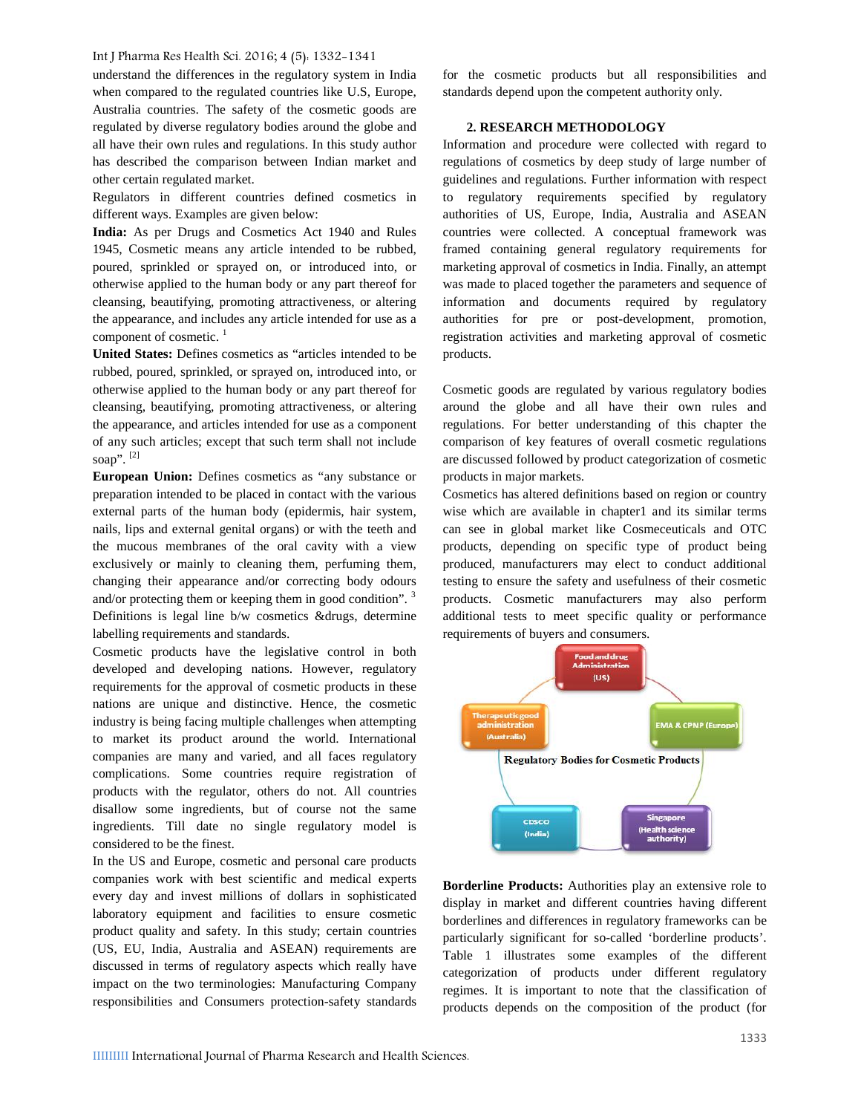understand the differences in the regulatory system in India when compared to the regulated countries like U.S, Europe, Australia countries. The safety of the cosmetic goods are regulated by diverse regulatory bodies around the globe and all have their own rules and regulations. In this study author has described the comparison between Indian market and other certain regulated market.

Regulators in different countries defined cosmetics in different ways. Examples are given below:

**India:** As per Drugs and Cosmetics Act 1940 and Rules 1945, Cosmetic means any article intended to be rubbed, poured, sprinkled or sprayed on, or introduced into, or otherwise applied to the human body or any part thereof for cleansing, beautifying, promoting attractiveness, or altering the appearance, and includes any article intended for use as a component of cosmetic. $<sup>1</sup>$ </sup>

**United States:** Defines cosmetics as "articles intended to be rubbed, poured, sprinkled, or sprayed on, introduced into, or otherwise applied to the human body or any part thereof for cleansing, beautifying, promoting attractiveness, or altering the appearance, and articles intended for use as a component of any such articles; except that such term shall not include soap".  $[2]$ 

**European Union:** Defines cosmetics as "any substance or preparation intended to be placed in contact with the various external parts of the human body (epidermis, hair system, nails, lips and external genital organs) or with the teeth and the mucous membranes of the oral cavity with a view exclusively or mainly to cleaning them, perfuming them, changing their appearance and/or correcting body odours and/or protecting them or keeping them in good condition". <sup>3</sup> Definitions is legal line b/w cosmetics &drugs, determine labelling requirements and standards.

Cosmetic products have the legislative control in both developed and developing nations. However, regulatory requirements for the approval of cosmetic products in these nations are unique and distinctive. Hence, the cosmetic industry is being facing multiple challenges when attempting to market its product around the world. International companies are many and varied, and all faces regulatory complications. Some countries require registration of products with the regulator, others do not. All countries disallow some ingredients, but of course not the same ingredients. Till date no single regulatory model is considered to be the finest.

In the US and Europe, cosmetic and personal care products companies work with best scientific and medical experts every day and invest millions of dollars in sophisticated laboratory equipment and facilities to ensure cosmetic product quality and safety. In this study; certain countries (US, EU, India, Australia and ASEAN) requirements are discussed in terms of regulatory aspects which really have impact on the two terminologies: Manufacturing Company responsibilities and Consumers protection-safety standards

for the cosmetic products but all responsibilities and standards depend upon the competent authority only.

## **2. RESEARCH METHODOLOGY**

Information and procedure were collected with regard to regulations of cosmetics by deep study of large number of guidelines and regulations. Further information with respect to regulatory requirements specified by regulatory authorities of US, Europe, India, Australia and ASEAN countries were collected. A conceptual framework was framed containing general regulatory requirements for marketing approval of cosmetics in India. Finally, an attempt was made to placed together the parameters and sequence of information and documents required by regulatory authorities for pre or post-development, promotion, registration activities and marketing approval of cosmetic products.

Cosmetic goods are regulated by various regulatory bodies around the globe and all have their own rules and regulations. For better understanding of this chapter the comparison of key features of overall cosmetic regulations are discussed followed by product categorization of cosmetic products in major markets.

Cosmetics has altered definitions based on region or country wise which are available in chapter1 and its similar terms can see in global market like Cosmeceuticals and OTC products, depending on specific type of product being produced, manufacturers may elect to conduct additional testing to ensure the safety and usefulness of their cosmetic products. Cosmetic manufacturers may also perform additional tests to meet specific quality or performance requirements of buyers and consumers.



**Borderline Products:** Authorities play an extensive role to display in market and different countries having different borderlines and differences in regulatory frameworks can be particularly significant for so-called 'borderline products'. Table 1 illustrates some examples of the different categorization of products under different regulatory regimes. It is important to note that the classification of **d** products depends on the composition of the product (for  $\theta$ **r**<br>e **bo ie**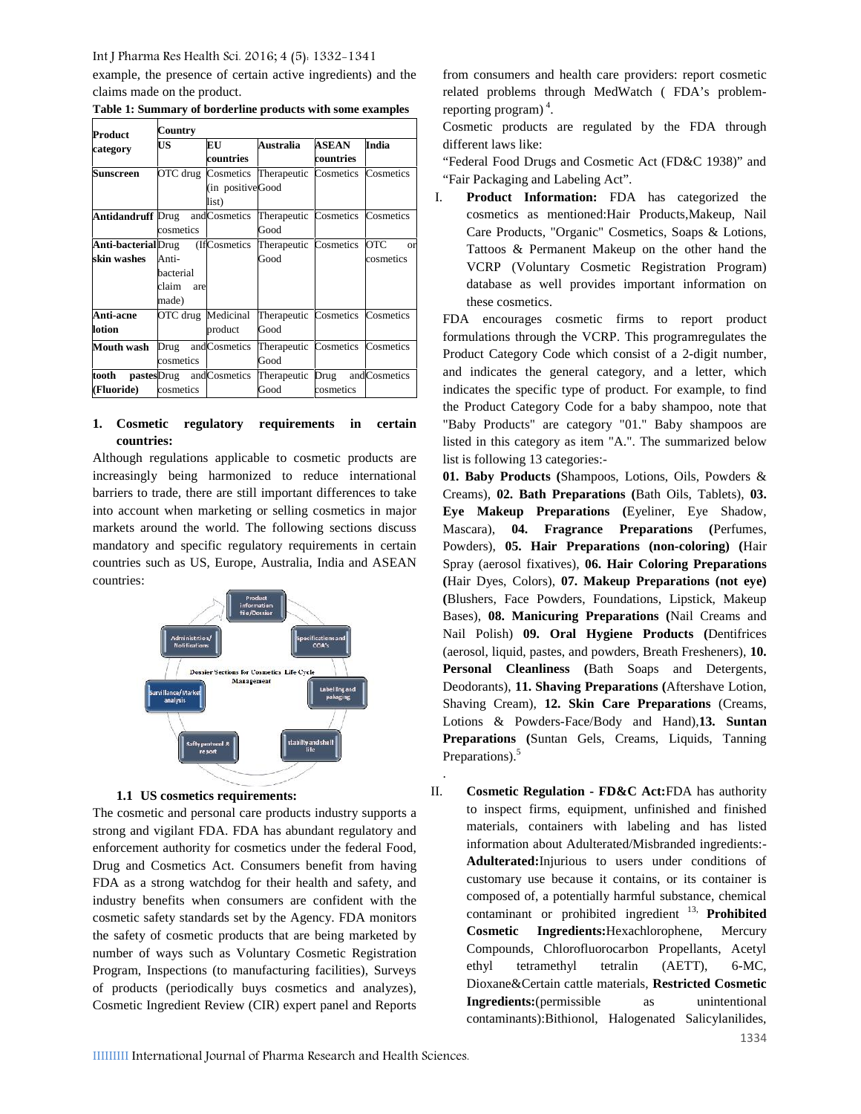example, the presence of certain active ingredients) and the claims made on the product.

| Product                                                                | Country                                     |                               |                                          |                           |                              |  |
|------------------------------------------------------------------------|---------------------------------------------|-------------------------------|------------------------------------------|---------------------------|------------------------------|--|
| category                                                               | US                                          | EU<br>countries               | Australia                                | <b>ASEAN</b><br>countries | India                        |  |
| Sunscreen                                                              |                                             | (in positiveGood<br>list)     | OTC drug Cosmetics Therapeutic Cosmetics |                           | Cosmetics                    |  |
| <b>Antidandruff</b> Drug and Cosmetics Therapeutic Cosmetics Cosmetics | cosmetics                                   |                               | Good                                     |                           |                              |  |
| <b>Anti-bacterial</b> Drug<br>skin washes                              | Anti-<br>bacterial<br>claim<br>are<br>made) | (IfCosmetics)                 | Therapeutic Cosmetics<br>Good            |                           | OTC<br>$\alpha$<br>cosmetics |  |
| <b>Anti-acne</b><br>lotion                                             |                                             | OTC drug Medicinal<br>product | Therapeutic Cosmetics Cosmetics<br>Good  |                           |                              |  |
| Mouth wash                                                             | Drug and Cosmetics<br>cosmetics             |                               | Therapeutic Cosmetics<br>Good            |                           | Cosmetics                    |  |
| tooth<br>(Fluoride)                                                    | cosmetics                                   | pastesDrug andCosmetics       | Therapeutic Drug<br>Good                 | cosmetics                 | andCosmetics                 |  |

**Table 1: Summary of borderline products with some examples**

# **1. Cosmetic regulatory requirements in certain countries:**

Although regulations applicable to cosmetic products are increasingly being harmonized to reduce international barriers to trade, there are still important differences to take into account when marketing or selling cosmetics in major markets around the world. The following sections discuss mandatory and specific regulatory requirements in certain countries such as US, Europe, Australia, India and ASEAN countries:



#### **1.1 US cosmetics requirements:**

The cosmetic and personal care products industry supports a strong and vigilant FDA. FDA has abundant regulatory and enforcement authority for cosmetics under the federal Food, Drug and Cosmetics Act. Consumers benefit from having FDA as a strong watchdog for their health and safety, and industry benefits when consumers are confident with the cosmetic safety standards set by the Agency. FDA monitors the safety of cosmetic products that are being marketed by number of ways such as Voluntary Cosmetic Registration Program, Inspections (to manufacturing facilities), Surveys of products (periodically buys cosmetics and analyzes), Cosmetic Ingredient Review (CIR) expert panel and Reports from consumers and health care providers: report cosmetic related problems through MedWatch ( FDA's problemreporting program)<sup>4</sup>.

Cosmetic products are regulated by the FDA through different laws like:

"Federal Food Drugs and Cosmetic Act (FD&C 1938)" and "Fair Packaging and Labeling Act".

I. **Product Information:** FDA has categorized the cosmetics as mentioned:Hair Products,Makeup, Nail Care Products, "Organic" Cosmetics, Soaps & Lotions, Tattoos & Permanent Makeup on the other hand the VCRP (Voluntary Cosmetic Registration Program) database as well provides important information on these cosmetics.

FDA encourages cosmetic firms to report product formulations through the VCRP. This programregulates the Product Category Code which consist of a 2-digit number, and indicates the general category, and a letter, which indicates the specific type of product. For example, to find the Product Category Code for a baby shampoo, note that "Baby Products" are category "01." Baby shampoos are listed in this category as item "A.". The summarized below list is following 13 categories:-

**01. Baby Products (**Shampoos, Lotions, Oils, Powders & Creams), **02. Bath Preparations (**Bath Oils, Tablets), **03. Eye Makeup Preparations (**Eyeliner, Eye Shadow, Mascara), **04. Fragrance Preparations (**Perfumes, Powders), **05. Hair Preparations (non-coloring) (**Hair Spray (aerosol fixatives), **06. Hair Coloring Preparations (**Hair Dyes, Colors), **07. Makeup Preparations (not eye) (**Blushers, Face Powders, Foundations, Lipstick, Makeup Bases), **08. Manicuring Preparations (**Nail Creams and Nail Polish) **09. Oral Hygiene Products (**Dentifrices (aerosol, liquid, pastes, and powders, Breath Fresheners), **10. Personal Cleanliness (**Bath Soaps and Detergents, Deodorants), **11. Shaving Preparations (**Aftershave Lotion, Shaving Cream), **12. Skin Care Preparations** (Creams, Lotions & Powders-Face/Body and Hand),**13. Suntan Preparations** (Suntan Gels, Creams, Liquids, Tanning Preparations).<sup>5</sup>

**Cosmetic Regulation - <b>FD&C** Act:FDA has authority to inspect firms, equipment, unfinished and finished e materials, containers with labeling and has listed information about Adulterated/Misbranded ingredients:- Adulterated: Injurious to users under conditions of customary use because it contains, or its container is composed of, a potentially harmful substance, chemical e composed or, a potentially national substance, enemies contaminant or prohibited ingredient <sup>13</sup>, **Prohibited Cosmetic Ingredients:**Hexachlorophene, Mercury t Compounds, Chlorofluorocarbon Propellants, Acetyl tetramethyl tetralin (AETT), 6-MC, Dioxane&Certain cattle materials, **Restricted Cosmetic** n **Ingredients:**(permissible as unintentional contaminants):Bithionol, Halogenated Salicylanilides, II. ethyl

.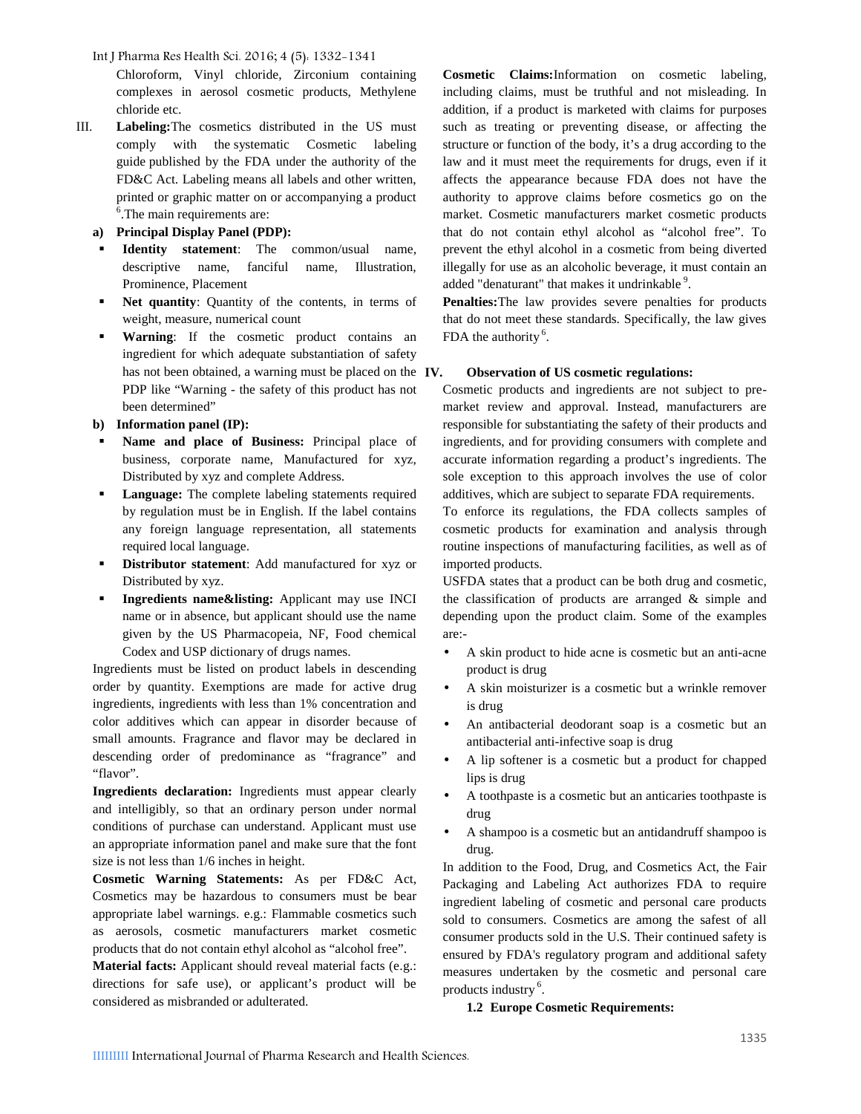Chloroform, Vinyl chloride, Zirconium containing complexes in aerosol cosmetic products, Methylene chloride etc.

- III. **Labeling:**The cosmetics distributed in the US must comply with the systematic Cosmetic labeling guide published by the FDA under the authority of the FD&C Act. Labeling means all labels and other written, printed or graphic matter on or accompanying a product <sup>6</sup>. The main requirements are:
	- **a) Principal Display Panel (PDP):**
	- **Identity statement**: The common/usual name, descriptive name, fanciful name, Illustration, Prominence, Placement
	- **Net quantity**: Quantity of the contents, in terms of weight, measure, numerical count
	- **Warning**: If the cosmetic product contains an ingredient for which adequate substantiation of safety has not been obtained, a warning must be placed on the IV. PDP like "Warning - the safety of this product has not been determined"

# **b) Information panel (IP):**

- **Name and place of Business:** Principal place of business, corporate name, Manufactured for xyz, Distributed by xyz and complete Address.
- **Language:** The complete labeling statements required by regulation must be in English. If the label contains any foreign language representation, all statements required local language.
- **Distributor statement**: Add manufactured for xyz or Distributed by xyz.
- **Ingredients name&listing:** Applicant may use INCI name or in absence, but applicant should use the name given by the US Pharmacopeia, NF, Food chemical Codex and USP dictionary of drugs names.

Ingredients must be listed on product labels in descending order by quantity. Exemptions are made for active drug ingredients, ingredients with less than 1% concentration and color additives which can appear in disorder because of small amounts. Fragrance and flavor may be declared in descending order of predominance as "fragrance" and "flavor".

**Ingredients declaration:** Ingredients must appear clearly and intelligibly, so that an ordinary person under normal conditions of purchase can understand. Applicant must use an appropriate information panel and make sure that the font size is not less than 1/6 inches in height.

**Cosmetic Warning Statements:** As per FD&C Act, Cosmetics may be hazardous to consumers must be bear appropriate label warnings. e.g.: Flammable cosmetics such as aerosols, cosmetic manufacturers market cosmetic products that do not contain ethyl alcohol as "alcohol free".

**Material facts:** Applicant should reveal material facts (e.g.: directions for safe use), or applicant's product will be considered as misbranded or adulterated.

**Cosmetic Claims:**Information on cosmetic labeling, including claims, must be truthful and not misleading. In addition, if a product is marketed with claims for purposes such as treating or preventing disease, or affecting the structure or function of the body, it's a drug according to the law and it must meet the requirements for drugs, even if it affects the appearance because FDA does not have the authority to approve claims before cosmetics go on the market. Cosmetic manufacturers market cosmetic products that do not contain ethyl alcohol as "alcohol free". To prevent the ethyl alcohol in a cosmetic from being diverted illegally for use as an alcoholic beverage, it must contain an added "denaturant" that makes it undrinkable <sup>9</sup>.

**Penalties:**The law provides severe penalties for products that do not meet these standards. Specifically, the law gives FDA the authority  $6$ .

# **IV. Observation of US cosmetic regulations:**

Cosmetic products and ingredients are not subject to pre market review and approval. Instead, manufacturers are responsible for substantiating the safety of their products and ingredients, and for providing consumers with complete and accurate information regarding a product's ingredients. The sole exception to this approach involves the use of color additives, which are subject to separate FDA requirements.

To enforce its regulations, the FDA collects samples of cosmetic products for examination and analysis through routine inspections of manufacturing facilities, as well as of imported products.

USFDA states that a product can be both drug and cosmetic, the classification of products are arranged & simple and depending upon the product claim. Some of the examples are:-

- A skin product to hide acne is cosmetic but an anti-acne product is drug
- A skin moisturizer is a cosmetic but a wrinkle remover is drug
- An antibacterial deodorant soap is a cosmetic but an antibacterial anti-infective soap is drug
- A lip softener is a cosmetic but a product for chapped lips is drug
- A toothpaste is a cosmetic but an anticaries toothpaste is drug
- A shampoo is a cosmetic but an antidandruff shampoo is drug.

In addition to the Food, Drug, and Cosmetics Act, the Fair Packaging and Labeling Act authorizes FDA to require ingredient labeling of cosmetic and personal care products sold to consumers. Cosmetics are among the safest of all consumer products sold in the U.S. Their continued safety is ensured by FDA's regulatory program and additional safety measures undertaken by the cosmetic and personal care products industry <sup>6</sup>.

#### **1.2 Europe Cosmetic Requirements:**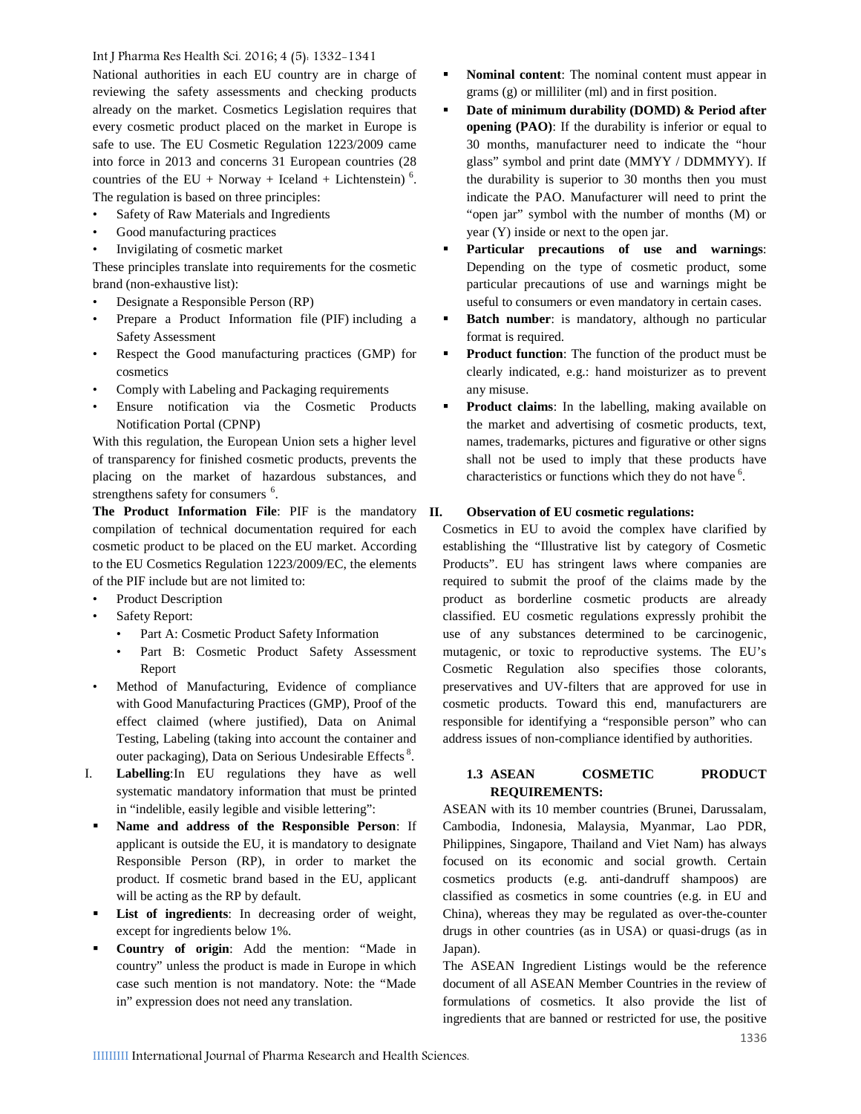National authorities in each EU country are in charge of reviewing the safety assessments and checking products already on the market. Cosmetics Legislation requires that every cosmetic product placed on the market in Europe is safe to use. The EU Cosmetic Regulation 1223/2009 came into force in 2013 and concerns 31 European countries (28 countries of the  $EU + Norway + Iceland + Lichtenstein)$ <sup>6</sup>. The regulation is based on three principles:

- Safety of Raw Materials and Ingredients
- Good manufacturing practices
- Invigilating of cosmetic market

These principles translate into requirements for the cosmetic brand (non-exhaustive list):

- Designate a Responsible Person (RP)
- Prepare a Product Information file (PIF) including a Safety Assessment
- Respect the Good manufacturing practices (GMP) for cosmetics
- Comply with Labeling and Packaging requirements
- Ensure notification via the Cosmetic Products Notification Portal (CPNP)

With this regulation, the European Union sets a higher level of transparency for finished cosmetic products, prevents the placing on the market of hazardous substances, and strengthens safety for consumers <sup>6</sup>.

The Product Information File: PIF is the mandatory II. compilation of technical documentation required for each cosmetic product to be placed on the EU market. According to the EU Cosmetics Regulation 1223/2009/EC, the elements of the PIF include but are not limited to:

- Product Description
- Safety Report:
	- Part A: Cosmetic Product Safety Information
	- Part B: Cosmetic Product Safety Assessment Report
- Method of Manufacturing, Evidence of compliance with Good Manufacturing Practices (GMP), Proof of the effect claimed (where justified), Data on Animal Testing, Labeling (taking into account the container and outer packaging), Data on Serious Undesirable Effects<sup>8</sup>.
- I. **Labelling**:In EU regulations they have as well systematic mandatory information that must be printed in "indelible, easily legible and visible lettering":
- **Name and address of the Responsible Person**: If applicant is outside the EU, it is mandatory to designate Responsible Person (RP), in order to market the product. If cosmetic brand based in the EU, applicant will be acting as the RP by default.
- **List of ingredients**: In decreasing order of weight, except for ingredients below 1%.
- **Country of origin**: Add the mention: "Made in country" unless the product is made in Europe in which case such mention is not mandatory. Note: the "Made in" expression does not need any translation.
- **Nominal content**: The nominal content must appear in grams (g) or milliliter (ml) and in first position.
- **Date of minimum durability (DOMD) & Period after opening (PAO)**: If the durability is inferior or equal to 30 months, manufacturer need to indicate the "hour glass" symbol and print date (MMYY / DDMMYY). If the durability is superior to 30 months then you must indicate the PAO. Manufacturer will need to print the "open jar" symbol with the number of months (M) or year (Y) inside or next to the open jar.
- **Particular precautions of use and warnings**: Depending on the type of cosmetic product, some particular precautions of use and warnings might be useful to consumers or even mandatory in certain cases.
- **Batch number**: is mandatory, although no particular format is required.
- **Product function**: The function of the product must be clearly indicated, e.g.: hand moisturizer as to prevent any misuse.
- **Product claims**: In the labelling, making available on the market and advertising of cosmetic products, text, names, trademarks, pictures and figurative or other signs shall not be used to imply that these products have characteristics or functions which they do not have <sup>6</sup>.

#### **II. Observation of EU cosmetic regulations:**

Cosmetics in EU to avoid the complex have clarified by establishing the "Illustrative list by category of Cosmetic Products". EU has stringent laws where companies are required to submit the proof of the claims made by the product as borderline cosmetic products are already classified. EU cosmetic regulations expressly prohibit the use of any substances determined to be carcinogenic, mutagenic, or toxic to reproductive systems. The EU's Cosmetic Regulation also specifies those colorants, preservatives and UV-filters that are approved for use in cosmetic products. Toward this end, manufacturers are responsible for identifying a "responsible person" who can address issues of non-compliance identified by authorities.

# **1.3 ASEAN COSMETIC PRODUCT REQUIREMENTS:**

ASEAN with its 10 member countries (Brunei, Darussalam, Cambodia, Indonesia, Malaysia, Myanmar, Lao PDR, Philippines, Singapore, Thailand and Viet Nam) has always focused on its economic and social growth. Certain cosmetics products (e.g. anti-dandruff shampoos) are classified as cosmetics in some countries (e.g. in EU and China), whereas they may be regulated as over-the-counter drugs in other countries (as in USA) or quasi-drugs (as in Japan).

The ASEAN Ingredient Listings would be the reference document of all ASEAN Member Countries in the review of formulations of cosmetics. It also provide the list of ingredients that are banned or restricted for use, the positive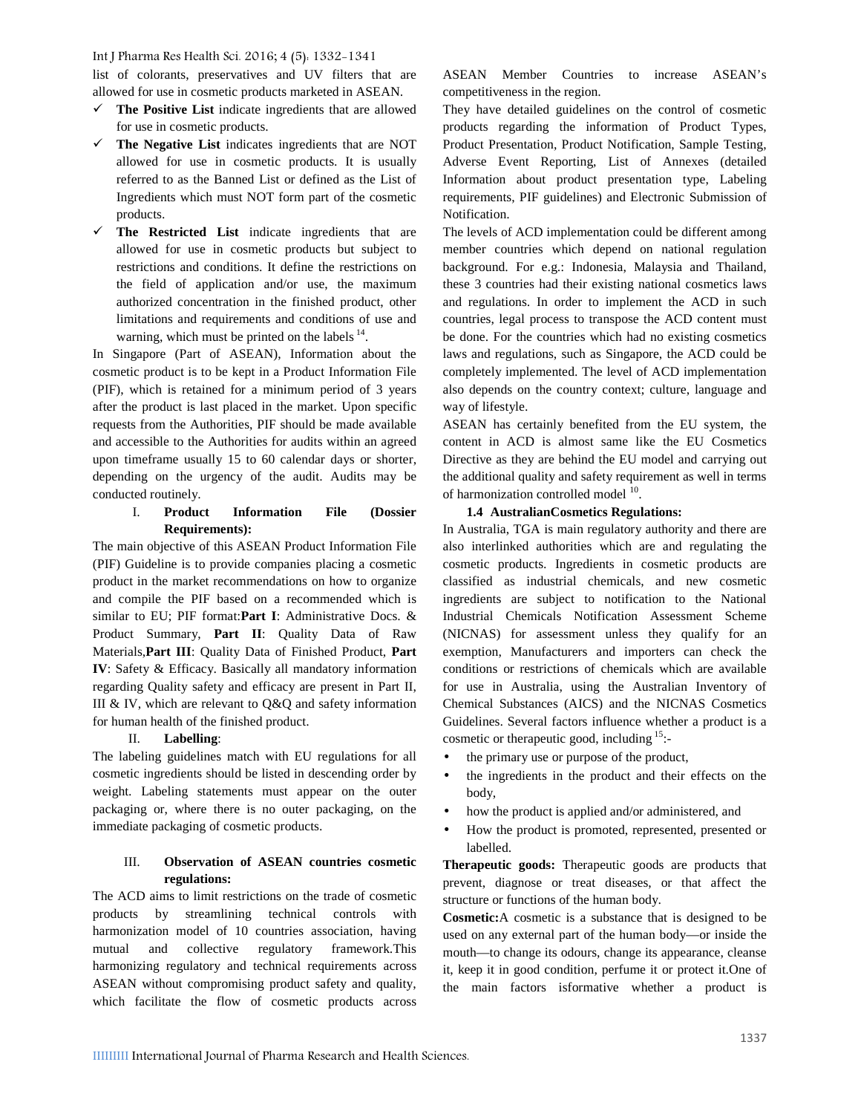list of colorants, preservatives and UV filters that are allowed for use in cosmetic products marketed in ASEAN.

- **The Positive List** indicate ingredients that are allowed for use in cosmetic products.
- **The Negative List** indicates ingredients that are NOT allowed for use in cosmetic products. It is usually referred to as the Banned List or defined as the List of Ingredients which must NOT form part of the cosmetic products.
- **The Restricted List** indicate ingredients that are allowed for use in cosmetic products but subject to restrictions and conditions. It define the restrictions on the field of application and/or use, the maximum authorized concentration in the finished product, other limitations and requirements and conditions of use and warning, which must be printed on the labels  $<sup>14</sup>$ .</sup>

.In Singapore (Part of ASEAN), Information about the cosmetic product is to be kept in a Product Information File (PIF), which is retained for a minimum period of 3 years after the product is last placed in the market. Upon specific requests from the Authorities, PIF should be made available and accessible to the Authorities for audits within an agreed upon timeframe usually 15 to 60 calendar days or shorter, depending on the urgency of the audit. Audits may be conducted routinely.

# I. **Product Information File (Dossier Requirements):**

The main objective of this ASEAN Product Information File (PIF) Guideline is to provide companies placing a cosmetic product in the market recommendations on how to organize and compile the PIF based on a recommended which is similar to EU; PIF format:**Part I**: Administrative Docs. & Product Summary, **Part II**: Quality Data of Raw Materials,**Part III**: Quality Data of Finished Product, **Part IV**: Safety & Efficacy. Basically all mandatory information regarding Quality safety and efficacy are present in Part II, III & IV, which are relevant to Q&Q and safety information for human health of the finished product.

#### II. **Labelling**:

The labeling guidelines match with EU regulations for all cosmetic ingredients should be listed in descending order by weight. Labeling statements must appear on the outer packaging or, where there is no outer packaging, on the immediate packaging of cosmetic products.

# III. **Observation of ASEAN countries cosmetic regulations:**

The ACD aims to limit restrictions on the trade of cosmetic products by streamlining technical controls with harmonization model of 10 countries association, having mutual and collective regulatory framework.This harmonizing regulatory and technical requirements across ASEAN without compromising product safety and quality, which facilitate the flow of cosmetic products across ASEAN Member Countries to increase ASEAN's competitiveness in the region.

They have detailed guidelines on the control of cosmetic products regarding the information of Product Types, Product Presentation, Product Notification, Sample Testing, Adverse Event Reporting, List of Annexes (detailed Information about product presentation type, Labeling requirements, PIF guidelines) and Electronic Submission of Notification.

The levels of ACD implementation could be different among member countries which depend on national regulation background. For e.g.: Indonesia, Malaysia and Thailand, these 3 countries had their existing national cosmetics laws and regulations. In order to implement the ACD in such countries, legal process to transpose the ACD content must be done. For the countries which had no existing cosmetics laws and regulations, such as Singapore, the ACD could be completely implemented. The level of ACD implementation also depends on the country context; culture, language and way of lifestyle.

ASEAN has certainly benefited from the EU system, the content in ACD is almost same like the EU Cosmetics Directive as they are behind the EU model and carrying out the additional quality and safety requirement as well in terms of harmonization controlled model <sup>10</sup>. .

#### **1.4 AustralianCosmetics Regulations:**

In Australia, TGA is main regulatory authority and there are also interlinked authorities which are and regulating the cosmetic products. Ingredients in cosmetic products are classified as industrial chemicals, and new cosmetic ingredients are subject to notification to the National Industrial Chemicals Notification Assessment Scheme (NICNAS) for assessment unless they qualify for an exemption, Manufacturers and importers can check the conditions or restrictions of chemicals which are available for use in Australia, using the Australian Inventory of Chemical Substances (AICS) and the NICNAS Cosmetics Guidelines. Several factors influence whether a product is a cosmetic or therapeutic good, including <sup>15</sup>:-

- the primary use or purpose of the product,
- the ingredients in the product and their effects on the body,
- how the product is applied and/or administered, and
- How the product is promoted, represented, presented or labelled.

**Therapeutic goods:** Therapeutic goods are products that prevent, diagnose or treat diseases, or that affect the structure or functions of the human body.

**Cosmetic:**A cosmetic is a substance that is designed to be used on any external part of the human body—or inside the mouth—to change its odours, change its appearance, cleanse it, keep it in good condition, perfume it or protect it.One of the main factors isformative whether a product is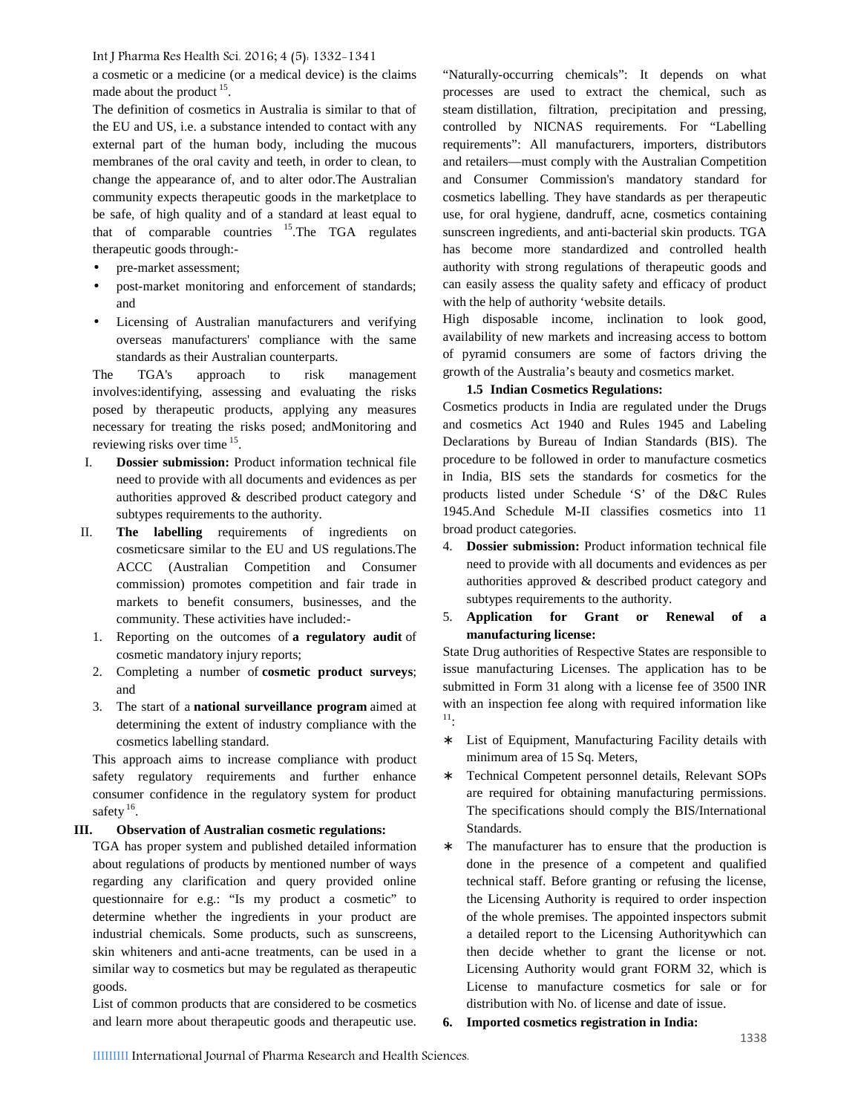a cosmetic or a medicine (or a medical device) is the claims made about the product <sup>15</sup>.

The definition of cosmetics in Australia is similar to that of the EU and US, i.e. a substance intended to contact with any external part of the human body, including the mucous membranes of the oral cavity and teeth, in order to clean, to change the appearance of, and to alter odor.The Australian community expects therapeutic goods in the marketplace to be safe, of high quality and of a standard at least equal to that of comparable countries <sup>15</sup>.The TGA regulates therapeutic goods through:-

- pre-market assessment;
- post-market monitoring and enforcement of standards; and
- Licensing of Australian manufacturers and verifying overseas manufacturers' compliance with the same standards as their Australian counterparts.

The TGA's approach to risk management involves:identifying, assessing and evaluating the risks posed by therapeutic products, applying any measures necessary for treating the risks posed; andMonitoring and reviewing risks over time <sup>15</sup>.

- I. **Dossier submission:** Product information technical file need to provide with all documents and evidences as per authorities approved & described product category and subtypes requirements to the authority.
- II. **The labelling** requirements of ingredients on cosmeticsare similar to the EU and US regulations.The ACCC (Australian Competition and Consumer commission) promotes competition and fair trade in markets to benefit consumers, businesses, and the community. These activities have included:-
	- 1. Reporting on the outcomes of **a regulatory audit** of cosmetic mandatory injury reports;
	- 2. Completing a number of **cosmetic product surveys**; and
	- 3. The start of a **national surveillance program** aimed at determining the extent of industry compliance with the cosmetics labelling standard.

This approach aims to increase compliance with product safety regulatory requirements and further enhance consumer confidence in the regulatory system for product safety<sup>16</sup>. .

# **III. Observation of Australian cosmetic regulations:**

TGA has proper system and published detailed information about regulations of products by mentioned number of ways regarding any clarification and query provided online questionnaire for e.g.: "Is my product a cosmetic" to determine whether the ingredients in your product are industrial chemicals. Some products, such as sunscreens, skin whiteners and anti-acne treatments, can be used in a similar way to cosmetics but may be regulated as therapeutic goods.

List of common products that are considered to be cosmetics and learn more about therapeutic goods and therapeutic use. 6.

"Naturally-occurring chemicals": It depends on what processes are used to extract the chemical, such as steam distillation, filtration, precipitation and pressing, controlled by NICNAS requirements. For "Labelling requirements": All manufacturers, importers, distributors and retailers—must comply with the Australian Competition and Consumer Commission's mandatory standard for cosmetics labelling. They have standards as per therapeutic use, for oral hygiene, dandruff, acne, cosmetics containing sunscreen ingredients, and anti-bacterial skin products. TGA has become more standardized and controlled health authority with strong regulations of therapeutic goods and can easily assess the quality safety and efficacy of product with the help of authority 'website details.

High disposable income, inclination to look good, availability of new markets and increasing access to bottom of pyramid consumers are some of factors driving the growth of the Australia's beauty and cosmetics market.

#### **1.5 Indian Cosmetics Regulations:**

Cosmetics products in India are regulated under the Drugs and cosmetics Act 1940 and Rules 1945 and Labeling Declarations by Bureau of Indian Standards (BIS). The procedure to be followed in order to manufacture cosmetics in India, BIS sets the standards for cosmetics for the products listed under Schedule 'S' of the D&C Rules 1945.And Schedule M-II classifies cosmetics into 11 broad product categories.

- 4. **Dossier submission:** Product information technical file need to provide with all documents and evidences as per authorities approved & described product category and subtypes requirements to the authority.
- 5. **Application for Grant or Renewal of a manufacturing license:**

State Drug authorities of Respective States are responsible to issue manufacturing Licenses. The application has to be submitted in Form 31 along with a license fee of 3500 INR with an inspection fee along with required information like <sup>11</sup>:

- List of Equipment, Manufacturing Facility details with minimum area of 15 Sq. Meters,
- Technical Competent personnel details, Relevant SOPs are required for obtaining manufacturing permissions. The specifications should comply the BIS/International Standards.
- The manufacturer has to ensure that the production is done in the presence of a competent and qualified technical staff. Before granting or refusing the license, the Licensing Authority is required to order inspection of the whole premises. The appointed inspectors submit a detailed report to the Licensing Authoritywhich can then decide whether to grant the license or not. Licensing Authority would grant FORM 32, which is License to manufacture cosmetics for sale or for distribution with No. of license and date of issue.
- **6. Imported cosmetics registration in India:**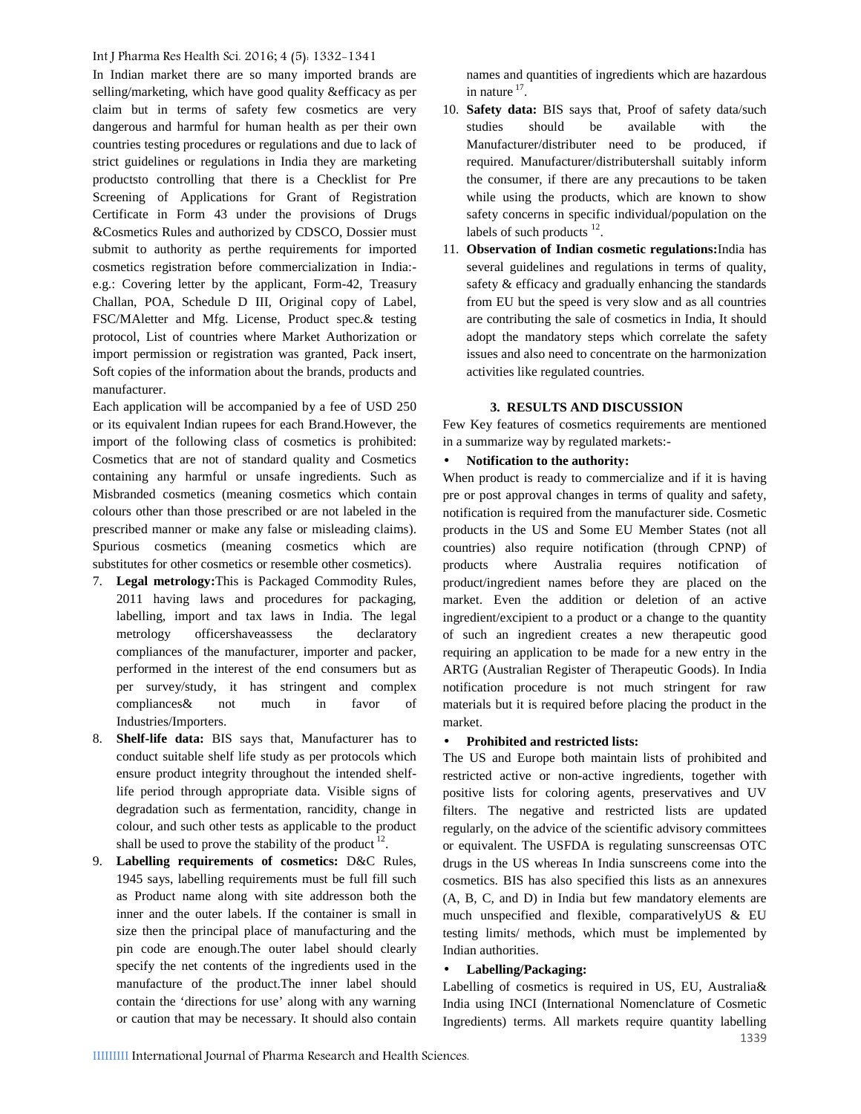In Indian market there are so many imported brands are selling/marketing, which have good quality &efficacy as per claim but in terms of safety few cosmetics are very dangerous and harmful for human health as per their own studies countries testing procedures or regulations and due to lack of strict guidelines or regulations in India they are marketing productsto controlling that there is a Checklist for Pre Screening of Applications for Grant of Registration Certificate in Form 43 under the provisions of Drugs &Cosmetics Rules and authorized by CDSCO, Dossier must submit to authority as perthe requirements for imported cosmetics registration before commercialization in India: e.g.: Covering letter by the applicant, Form-42, Treasury Challan, POA, Schedule D III, Original copy of Label, FSC/MAletter and Mfg. License, Product spec.& testing protocol, List of countries where Market Authorization or import permission or registration was granted, Pack insert, Soft copies of the information about the brands, products and manufacturer.

Each application will be accompanied by a fee of USD 250 or its equivalent Indian rupees for each Brand.However, the import of the following class of cosmetics is prohibited: Cosmetics that are not of standard quality and Cosmetics containing any harmful or unsafe ingredients. Such as Misbranded cosmetics (meaning cosmetics which contain colours other than those prescribed or are not labeled in the prescribed manner or make any false or misleading claims). Spurious cosmetics (meaning cosmetics which are substitutes for other cosmetics or resemble other cosmetics).

- 7. **Legal metrology:**This is Packaged Commodity Rules, 2011 having laws and procedures for packaging, labelling, import and tax laws in India. The legal metrology officershaveassess the declaratory compliances of the manufacturer, importer and packer, performed in the interest of the end consumers but as per survey/study, it has stringent and complex compliances& not much in favor of Industries/Importers.
- 8. **Shelf-life data:** BIS says that, Manufacturer has to conduct suitable shelf life study as per protocols which ensure product integrity throughout the intended shelflife period through appropriate data. Visible signs of degradation such as fermentation, rancidity, change in colour, and such other tests as applicable to the product shall be used to prove the stability of the product  $12$ .
- 9. **Labelling requirements of cosmetics:** D&C Rules, 1945 says, labelling requirements must be full fill such as Product name along with site addresson both the inner and the outer labels. If the container is small in size then the principal place of manufacturing and the pin code are enough.The outer label should clearly specify the net contents of the ingredients used in the manufacture of the product.The inner label should contain the 'directions for use' along with any warning or caution that may be necessary. It should also contain

names and quantities of ingredients which are hazardous in nature  $17$ .

- 10. **Safety data:** BIS says that, Proof of safety data/such should be available with the Manufacturer/distributer need to be produced, if required. Manufacturer/distributershall suitably inform the consumer, if there are any precautions to be taken while using the products, which are known to show safety concerns in specific individual/population on the labels of such products  $12$ .
- 11. **Observation of Indian cosmetic regulations:**India has several guidelines and regulations in terms of quality, safety & efficacy and gradually enhancing the standards from EU but the speed is very slow and as all countries are contributing the sale of cosmetics in India, It should adopt the mandatory steps which correlate the safety issues and also need to concentrate on the harmonization activities like regulated countries.

#### **3. RESULTS AND DISCUSSION**

Few Key features of cosmetics requirements are mentioned in a summarize way by regulated markets:-

#### **Notification to the authority:**

When product is ready to commercialize and if it is having pre or post approval changes in terms of quality and safety, notification is required from the manufacturer side. Cosmetic products in the US and Some EU Member States (not all countries) also require notification (through CPNP) of products where Australia requires notification of product/ingredient names before they are placed on the market. Even the addition or deletion of an active ingredient/excipient to a product or a change to the quantity of such an ingredient creates a new therapeutic good requiring an application to be made for a new entry in the ARTG (Australian Register of Therapeutic Goods). In India notification procedure is not much stringent for raw materials but it is required before placing the product in the market.

#### **Prohibited and restricted lists:**

The US and Europe both maintain lists of prohibited and restricted active or non-active ingredients, together with positive lists for coloring agents, preservatives and UV filters. The negative and restricted lists are updated regularly, on the advice of the scientific advisory committees or equivalent. The USFDA is regulating sunscreensas OTC drugs in the US whereas In India sunscreens come into the cosmetics. BIS has also specified this lists as an annexures (A, B, C, and D) in India but few mandatory elements are much unspecified and flexible, comparativelyUS & EU testing limits/ methods, which must be implemented by Indian authorities.

#### **Labelling/Packaging:**

Labelling of cosmetics is required in US, EU, Australia& India using INCI (International Nomenclature of Cosmetic Ingredients) terms. All markets require quantity labelling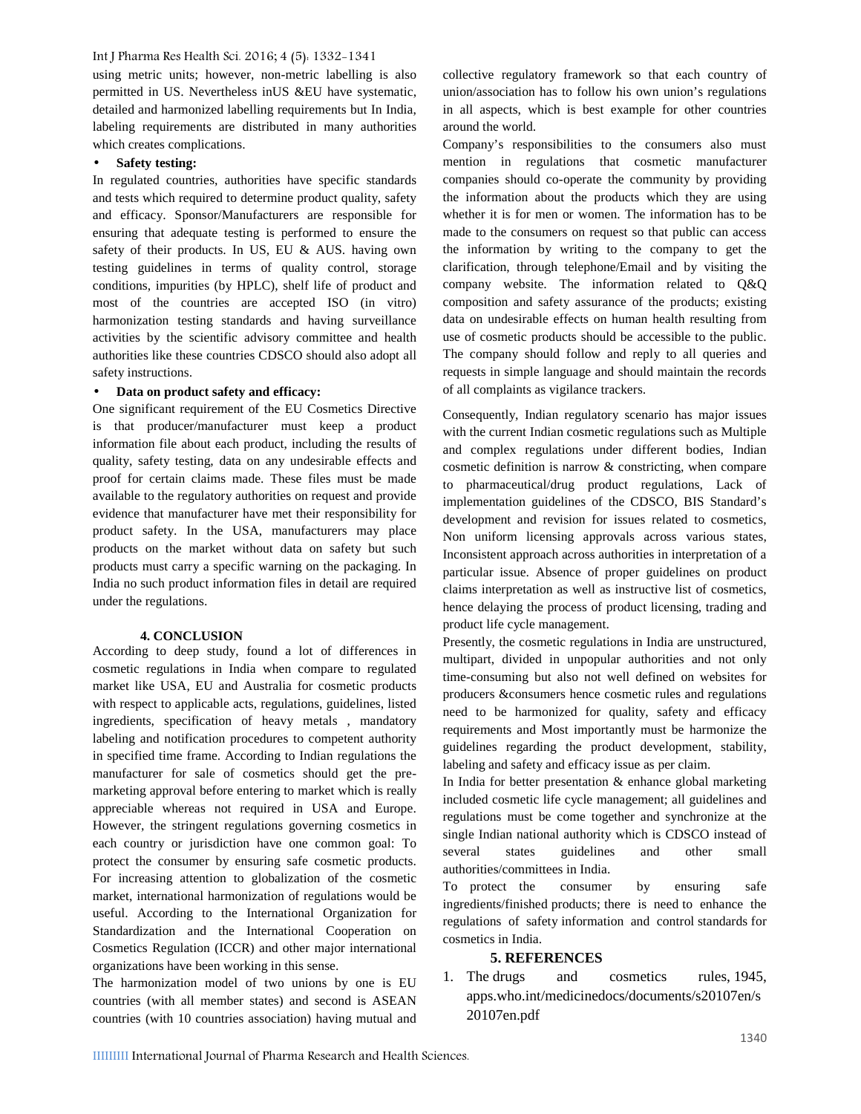using metric units; however, non-metric labelling is also permitted in US. Nevertheless inUS &EU have systematic, detailed and harmonized labelling requirements but In India, labeling requirements are distributed in many authorities which creates complications.

#### **Safety testing:**

In regulated countries, authorities have specific standards and tests which required to determine product quality, safety and efficacy. Sponsor/Manufacturers are responsible for ensuring that adequate testing is performed to ensure the safety of their products. In US, EU & AUS. having own testing guidelines in terms of quality control, storage conditions, impurities (by HPLC), shelf life of product and most of the countries are accepted ISO (in vitro) harmonization testing standards and having surveillance activities by the scientific advisory committee and health authorities like these countries CDSCO should also adopt all safety instructions.

#### **Data on product safety and efficacy:**

One significant requirement of the EU Cosmetics Directive is that producer/manufacturer must keep a product information file about each product, including the results of quality, safety testing, data on any undesirable effects and proof for certain claims made. These files must be made available to the regulatory authorities on request and provide evidence that manufacturer have met their responsibility for product safety. In the USA, manufacturers may place products on the market without data on safety but such products must carry a specific warning on the packaging. In India no such product information files in detail are required under the regulations.

#### **4. CONCLUSION**

According to deep study, found a lot of differences in cosmetic regulations in India when compare to regulated market like USA, EU and Australia for cosmetic products with respect to applicable acts, regulations, guidelines, listed ingredients, specification of heavy metals , mandatory labeling and notification procedures to competent authority in specified time frame. According to Indian regulations the manufacturer for sale of cosmetics should get the pre marketing approval before entering to market which is really appreciable whereas not required in USA and Europe. However, the stringent regulations governing cosmetics in each country or jurisdiction have one common goal: To protect the consumer by ensuring safe cosmetic products. For increasing attention to globalization of the cosmetic market, international harmonization of regulations would be useful. According to the International Organization for Standardization and the International Cooperation on Cosmetics Regulation (ICCR) and other major international organizations have been working in this sense.

The harmonization model of two unions by one is EU countries (with all member states) and second is ASEAN countries (with 10 countries association) having mutual and collective regulatory framework so that each country of union/association has to follow his own union's regulations in all aspects, which is best example for other countries around the world.

Company's responsibilities to the consumers also must mention in regulations that cosmetic manufacturer companies should co-operate the community by providing the information about the products which they are using whether it is for men or women. The information has to be made to the consumers on request so that public can access the information by writing to the company to get the clarification, through telephone/Email and by visiting the company website. The information related to Q&Q composition and safety assurance of the products; existing data on undesirable effects on human health resulting from use of cosmetic products should be accessible to the public. The company should follow and reply to all queries and requests in simple language and should maintain the records of all complaints as vigilance trackers.

Consequently, Indian regulatory scenario has major issues with the current Indian cosmetic regulations such as Multiple and complex regulations under different bodies, Indian cosmetic definition is narrow & constricting, when compare to pharmaceutical/drug product regulations, Lack of implementation guidelines of the CDSCO, BIS Standard's development and revision for issues related to cosmetics, Non uniform licensing approvals across various states, Inconsistent approach across authorities in interpretation of a particular issue. Absence of proper guidelines on product claims interpretation as well as instructive list of cosmetics, hence delaying the process of product licensing, trading and product life cycle management.

Presently, the cosmetic regulations in India are unstructured, multipart, divided in unpopular authorities and not only time-consuming but also not well defined on websites for producers &consumers hence cosmetic rules and regulations need to be harmonized for quality, safety and efficacy requirements and Most importantly must be harmonize the guidelines regarding the product development, stability, labeling and safety and efficacy issue as per claim.

In India for better presentation & enhance global marketing included cosmetic life cycle management; all guidelines and regulations must be come together and synchronize at the single Indian national authority which is CDSCO instead of states guidelines and other small authorities/committees in India.

To protect the consumer by ensuring safe ingredients/finished products; there is need to enhance the regulations of safety information and control standards for cosmetics in India.

# **5. REFERENCES**

1. The drugs and cosmetics rules, 1945, apps.who.int/medicinedocs/documents/s20107en/s 20107en.pdf